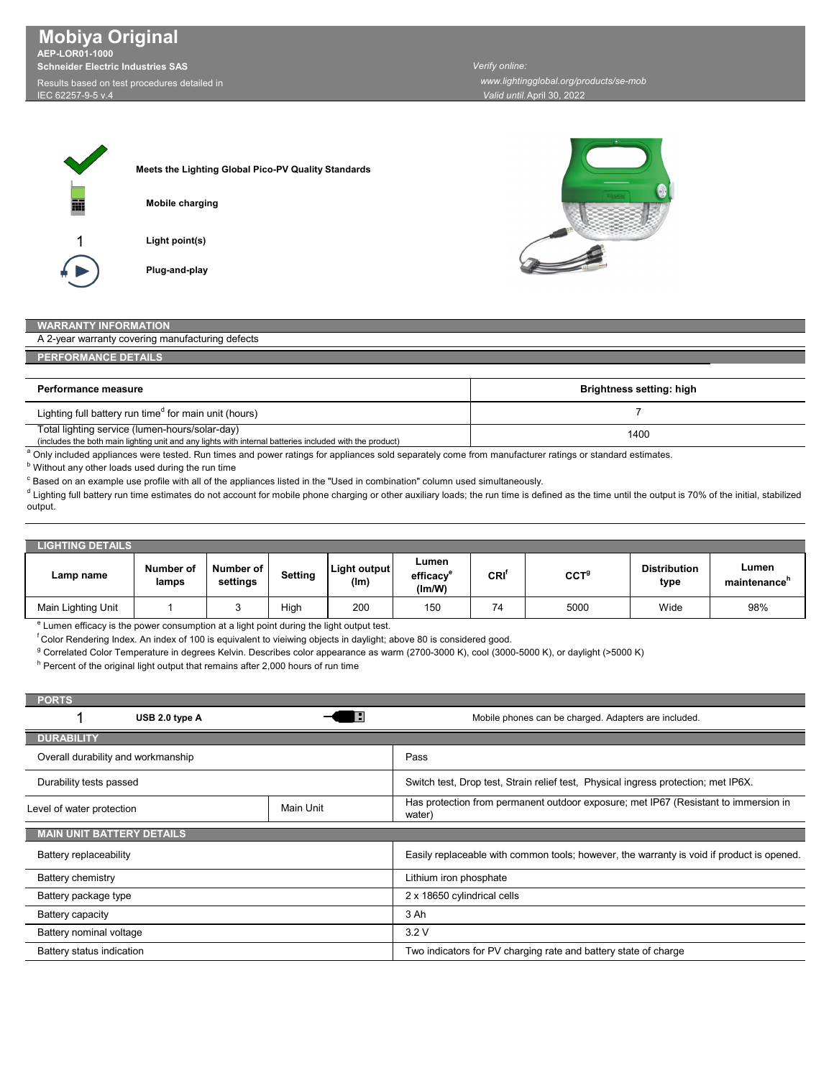**Mobiya Original AEP-LOR01-1000 Schneider Electric Industries SAS** Results based on test procedures detailed in

IEC 62257-9-5 v.4

*Valid until:*April 30, 2022 *Verify online: www.lightingglobal.org/products/se-mob*

1

**Meets the Lighting Global Pico-PV Quality Standards Light point(s) Mobile charging**

**Plug-and-play**



## **RANTY INFORMATION**

| A 2-year warranty covering manufacturing defects |  |  |
|--------------------------------------------------|--|--|
|                                                  |  |  |

**PERFORMANCE DETAILS**

| Performance measure                                                                                                                                       | <b>Brightness setting: high</b> |
|-----------------------------------------------------------------------------------------------------------------------------------------------------------|---------------------------------|
| Lighting full battery run time <sup>d</sup> for main unit (hours)                                                                                         |                                 |
| Total lighting service (lumen-hours/solar-day)<br>(includes the both main lighting unit and any lights with internal batteries included with the product) | 1400                            |

includes the both main lighting unit and any lights with internal batteries included with the product) (include<br>A Only included appliances were tested. Run times and power ratings for appliances sold separately come from m

**b** Without any other loads used during the run time

 $^\circ$  Based on an example use profile with all of the appliances listed in the "Used in combination" column used simultaneously.

 $^{\text{d}}$  Lighting full battery run time estimates do not account for mobile phone charging or other auxiliary loads; the run time is defined as the time until the output is 70% of the initial, stabilized output.

| <b>LIGHTING DETAILS</b> |                    |                       |                |                      |                              |                  |                  |                             |                       |
|-------------------------|--------------------|-----------------------|----------------|----------------------|------------------------------|------------------|------------------|-----------------------------|-----------------------|
| Lamp name               | Number of<br>lamps | Number of<br>settings | <b>Setting</b> | Light output<br>(Im) | Lumen<br>efficacv®<br>(lm/W) | CRI <sup>†</sup> | CCT <sup>9</sup> | <b>Distribution</b><br>type | Lumen<br>maintenance" |
| Main Lighting Unit      |                    | J                     | High           | 200                  | 150                          | 74               | 5000             | Wide                        | 98%                   |

<sup>e</sup> Lumen efficacy is the power consumption at a light point during the light output test.

f Color Rendering Index. An index of 100 is equivalent to vieiwing objects in daylight; above 80 is considered good.

 $^{\rm g}$  Correlated Color Temperature in degrees Kelvin. Describes color appearance as warm (2700-3000 K), cool (3000-5000 K), or daylight (>5000 K)

 $^{\circ}$  Percent of the original light output that remains after 2,000 hours of run time

| <b>PORTS</b>                       |           |                                                                                               |  |
|------------------------------------|-----------|-----------------------------------------------------------------------------------------------|--|
| USB 2.0 type A                     |           | Mobile phones can be charged. Adapters are included.                                          |  |
| <b>DURABILITY</b>                  |           |                                                                                               |  |
| Overall durability and workmanship |           | Pass                                                                                          |  |
| Durability tests passed            |           | Switch test, Drop test, Strain relief test, Physical ingress protection; met IP6X.            |  |
| Level of water protection          | Main Unit | Has protection from permanent outdoor exposure; met IP67 (Resistant to immersion in<br>water) |  |
| <b>MAIN UNIT BATTERY DETAILS</b>   |           |                                                                                               |  |
| Battery replaceability             |           | Easily replaceable with common tools; however, the warranty is void if product is opened.     |  |
| Battery chemistry                  |           | Lithium iron phosphate                                                                        |  |
| Battery package type               |           | 2 x 18650 cylindrical cells                                                                   |  |
| Battery capacity                   |           | 3 Ah                                                                                          |  |
| Battery nominal voltage            |           | 3.2V                                                                                          |  |
| Battery status indication          |           | Two indicators for PV charging rate and battery state of charge                               |  |